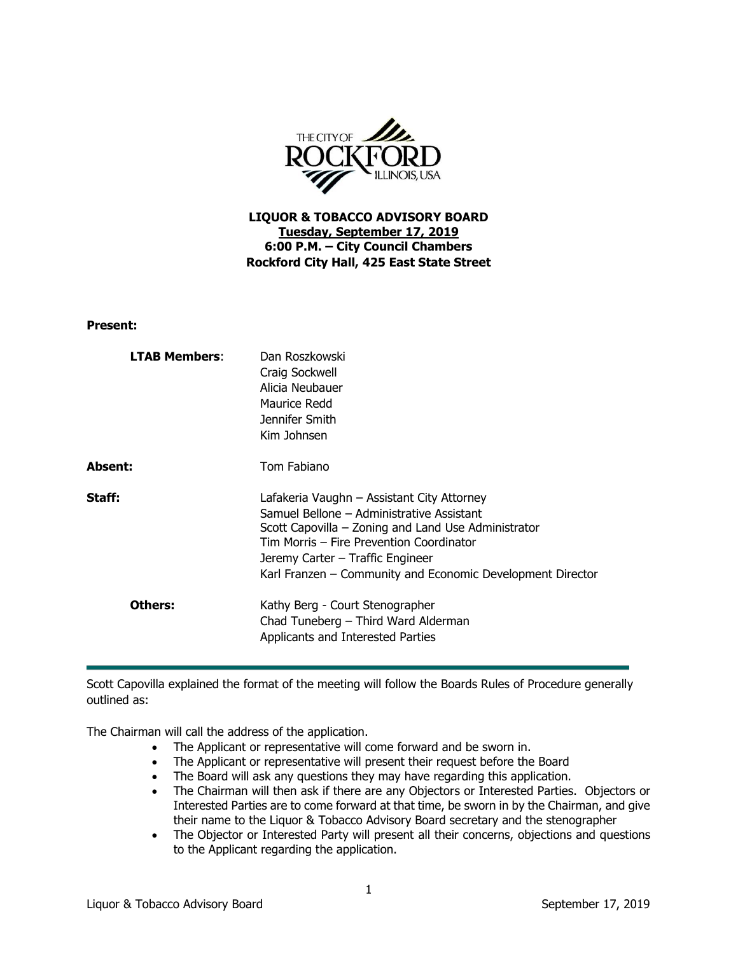

**LIQUOR & TOBACCO ADVISORY BOARD Tuesday, September 17, 2019 6:00 P.M. – City Council Chambers Rockford City Hall, 425 East State Street**

**Present:**

| <b>LTAB Members:</b> | Dan Roszkowski<br>Craig Sockwell<br>Alicia Neubauer<br>Maurice Redd<br>Jennifer Smith<br>Kim Johnsen                                                                                                                                                                                         |
|----------------------|----------------------------------------------------------------------------------------------------------------------------------------------------------------------------------------------------------------------------------------------------------------------------------------------|
| Absent:              | Tom Fabiano                                                                                                                                                                                                                                                                                  |
| Staff:               | Lafakeria Vaughn – Assistant City Attorney<br>Samuel Bellone – Administrative Assistant<br>Scott Capovilla – Zoning and Land Use Administrator<br>Tim Morris - Fire Prevention Coordinator<br>Jeremy Carter – Traffic Engineer<br>Karl Franzen - Community and Economic Development Director |
| Others:              | Kathy Berg - Court Stenographer<br>Chad Tuneberg - Third Ward Alderman<br>Applicants and Interested Parties                                                                                                                                                                                  |

Scott Capovilla explained the format of the meeting will follow the Boards Rules of Procedure generally outlined as:

The Chairman will call the address of the application.

- The Applicant or representative will come forward and be sworn in.
- The Applicant or representative will present their request before the Board
- The Board will ask any questions they may have regarding this application.
- The Chairman will then ask if there are any Objectors or Interested Parties. Objectors or Interested Parties are to come forward at that time, be sworn in by the Chairman, and give their name to the Liquor & Tobacco Advisory Board secretary and the stenographer
- The Objector or Interested Party will present all their concerns, objections and questions to the Applicant regarding the application.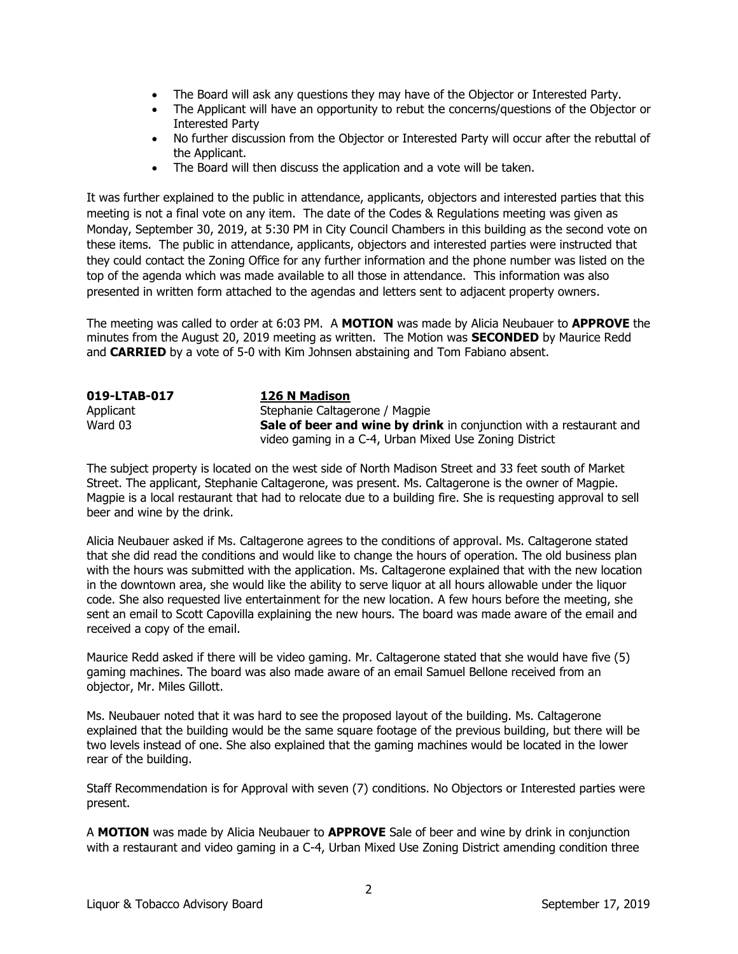- The Board will ask any questions they may have of the Objector or Interested Party.
- The Applicant will have an opportunity to rebut the concerns/questions of the Objector or Interested Party
- No further discussion from the Objector or Interested Party will occur after the rebuttal of the Applicant.
- The Board will then discuss the application and a vote will be taken.

It was further explained to the public in attendance, applicants, objectors and interested parties that this meeting is not a final vote on any item. The date of the Codes & Regulations meeting was given as Monday, September 30, 2019, at 5:30 PM in City Council Chambers in this building as the second vote on these items. The public in attendance, applicants, objectors and interested parties were instructed that they could contact the Zoning Office for any further information and the phone number was listed on the top of the agenda which was made available to all those in attendance. This information was also presented in written form attached to the agendas and letters sent to adjacent property owners.

The meeting was called to order at 6:03 PM. A **MOTION** was made by Alicia Neubauer to **APPROVE** the minutes from the August 20, 2019 meeting as written. The Motion was **SECONDED** by Maurice Redd and **CARRIED** by a vote of 5-0 with Kim Johnsen abstaining and Tom Fabiano absent.

| 019-LTAB-017 | 126 N Madison                                                       |
|--------------|---------------------------------------------------------------------|
| Applicant    | Stephanie Caltagerone / Magpie                                      |
| Ward 03      | Sale of beer and wine by drink in conjunction with a restaurant and |
|              | video gaming in a C-4, Urban Mixed Use Zoning District              |

The subject property is located on the west side of North Madison Street and 33 feet south of Market Street. The applicant, Stephanie Caltagerone, was present. Ms. Caltagerone is the owner of Magpie. Magpie is a local restaurant that had to relocate due to a building fire. She is requesting approval to sell beer and wine by the drink.

Alicia Neubauer asked if Ms. Caltagerone agrees to the conditions of approval. Ms. Caltagerone stated that she did read the conditions and would like to change the hours of operation. The old business plan with the hours was submitted with the application. Ms. Caltagerone explained that with the new location in the downtown area, she would like the ability to serve liquor at all hours allowable under the liquor code. She also requested live entertainment for the new location. A few hours before the meeting, she sent an email to Scott Capovilla explaining the new hours. The board was made aware of the email and received a copy of the email.

Maurice Redd asked if there will be video gaming. Mr. Caltagerone stated that she would have five (5) gaming machines. The board was also made aware of an email Samuel Bellone received from an objector, Mr. Miles Gillott.

Ms. Neubauer noted that it was hard to see the proposed layout of the building. Ms. Caltagerone explained that the building would be the same square footage of the previous building, but there will be two levels instead of one. She also explained that the gaming machines would be located in the lower rear of the building.

Staff Recommendation is for Approval with seven (7) conditions. No Objectors or Interested parties were present.

A **MOTION** was made by Alicia Neubauer to **APPROVE** Sale of beer and wine by drink in conjunction with a restaurant and video gaming in a C-4, Urban Mixed Use Zoning District amending condition three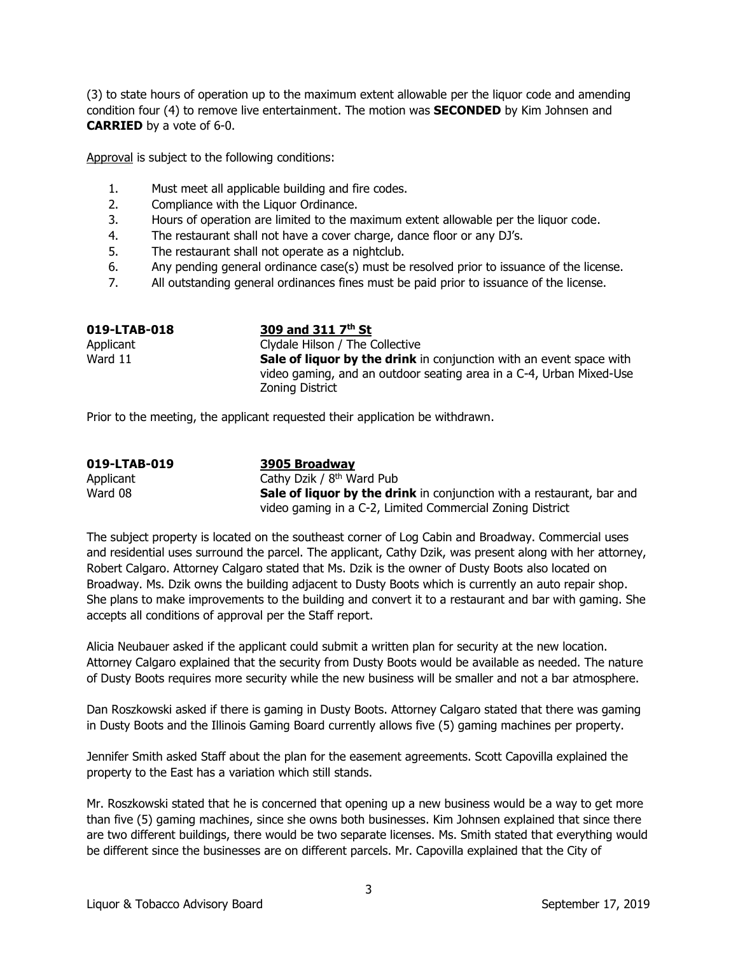(3) to state hours of operation up to the maximum extent allowable per the liquor code and amending condition four (4) to remove live entertainment. The motion was **SECONDED** by Kim Johnsen and **CARRIED** by a vote of 6-0.

Approval is subject to the following conditions:

- 1. Must meet all applicable building and fire codes.
- 2. Compliance with the Liquor Ordinance.
- 3. Hours of operation are limited to the maximum extent allowable per the liquor code.
- 4. The restaurant shall not have a cover charge, dance floor or any DJ's.
- 5. The restaurant shall not operate as a nightclub.
- 6. Any pending general ordinance case(s) must be resolved prior to issuance of the license.
- 7. All outstanding general ordinances fines must be paid prior to issuance of the license.

| 019-LTAB-018 | 309 and 311 7 <sup>th</sup> St                                             |
|--------------|----------------------------------------------------------------------------|
| Applicant    | Clydale Hilson / The Collective                                            |
| Ward 11      | <b>Sale of liquor by the drink</b> in conjunction with an event space with |
|              | video gaming, and an outdoor seating area in a C-4, Urban Mixed-Use        |
|              | Zoning District                                                            |

Prior to the meeting, the applicant requested their application be withdrawn.

| 019-LTAB-019 | 3905 Broadway                                                                |
|--------------|------------------------------------------------------------------------------|
| Applicant    | Cathy Dzik / 8 <sup>th</sup> Ward Pub                                        |
| Ward 08      | <b>Sale of liquor by the drink</b> in conjunction with a restaurant, bar and |
|              | video gaming in a C-2, Limited Commercial Zoning District                    |

The subject property is located on the southeast corner of Log Cabin and Broadway. Commercial uses and residential uses surround the parcel. The applicant, Cathy Dzik, was present along with her attorney, Robert Calgaro. Attorney Calgaro stated that Ms. Dzik is the owner of Dusty Boots also located on Broadway. Ms. Dzik owns the building adjacent to Dusty Boots which is currently an auto repair shop. She plans to make improvements to the building and convert it to a restaurant and bar with gaming. She accepts all conditions of approval per the Staff report.

Alicia Neubauer asked if the applicant could submit a written plan for security at the new location. Attorney Calgaro explained that the security from Dusty Boots would be available as needed. The nature of Dusty Boots requires more security while the new business will be smaller and not a bar atmosphere.

Dan Roszkowski asked if there is gaming in Dusty Boots. Attorney Calgaro stated that there was gaming in Dusty Boots and the Illinois Gaming Board currently allows five (5) gaming machines per property.

Jennifer Smith asked Staff about the plan for the easement agreements. Scott Capovilla explained the property to the East has a variation which still stands.

Mr. Roszkowski stated that he is concerned that opening up a new business would be a way to get more than five (5) gaming machines, since she owns both businesses. Kim Johnsen explained that since there are two different buildings, there would be two separate licenses. Ms. Smith stated that everything would be different since the businesses are on different parcels. Mr. Capovilla explained that the City of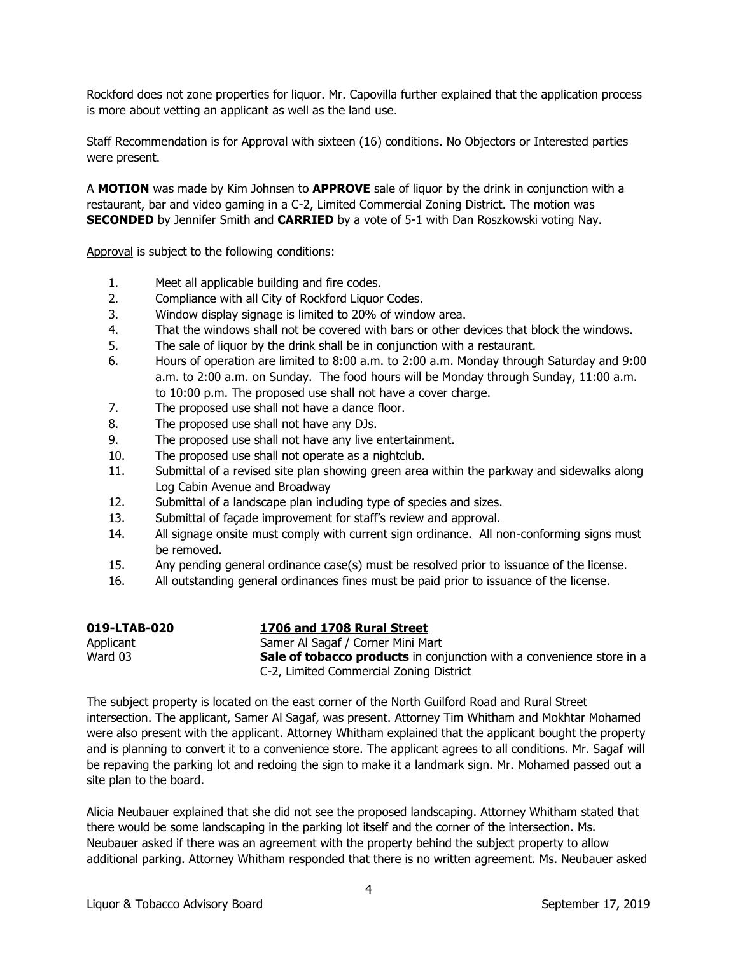Rockford does not zone properties for liquor. Mr. Capovilla further explained that the application process is more about vetting an applicant as well as the land use.

Staff Recommendation is for Approval with sixteen (16) conditions. No Objectors or Interested parties were present.

A **MOTION** was made by Kim Johnsen to **APPROVE** sale of liquor by the drink in conjunction with a restaurant, bar and video gaming in a C-2, Limited Commercial Zoning District. The motion was **SECONDED** by Jennifer Smith and **CARRIED** by a vote of 5-1 with Dan Roszkowski voting Nay.

Approval is subject to the following conditions:

- 1. Meet all applicable building and fire codes.
- 2. Compliance with all City of Rockford Liquor Codes.
- 3. Window display signage is limited to 20% of window area.
- 4. That the windows shall not be covered with bars or other devices that block the windows.
- 5. The sale of liquor by the drink shall be in conjunction with a restaurant.
- 6. Hours of operation are limited to 8:00 a.m. to 2:00 a.m. Monday through Saturday and 9:00 a.m. to 2:00 a.m. on Sunday. The food hours will be Monday through Sunday, 11:00 a.m. to 10:00 p.m. The proposed use shall not have a cover charge.
- 7. The proposed use shall not have a dance floor.
- 8. The proposed use shall not have any DJs.
- 9. The proposed use shall not have any live entertainment.
- 10. The proposed use shall not operate as a nightclub.
- 11. Submittal of a revised site plan showing green area within the parkway and sidewalks along Log Cabin Avenue and Broadway
- 12. Submittal of a landscape plan including type of species and sizes.
- 13. Submittal of façade improvement for staff's review and approval.
- 14. All signage onsite must comply with current sign ordinance. All non-conforming signs must be removed.
- 15. Any pending general ordinance case(s) must be resolved prior to issuance of the license.
- 16. All outstanding general ordinances fines must be paid prior to issuance of the license.

| 019-LTAB-020 | 1706 and 1708 Rural Street                                                   |
|--------------|------------------------------------------------------------------------------|
| Applicant    | Samer Al Sagaf / Corner Mini Mart                                            |
| Ward 03      | <b>Sale of tobacco products</b> in conjunction with a convenience store in a |
|              | C-2, Limited Commercial Zoning District                                      |

The subject property is located on the east corner of the North Guilford Road and Rural Street intersection. The applicant, Samer Al Sagaf, was present. Attorney Tim Whitham and Mokhtar Mohamed were also present with the applicant. Attorney Whitham explained that the applicant bought the property and is planning to convert it to a convenience store. The applicant agrees to all conditions. Mr. Sagaf will be repaving the parking lot and redoing the sign to make it a landmark sign. Mr. Mohamed passed out a site plan to the board.

Alicia Neubauer explained that she did not see the proposed landscaping. Attorney Whitham stated that there would be some landscaping in the parking lot itself and the corner of the intersection. Ms. Neubauer asked if there was an agreement with the property behind the subject property to allow additional parking. Attorney Whitham responded that there is no written agreement. Ms. Neubauer asked

4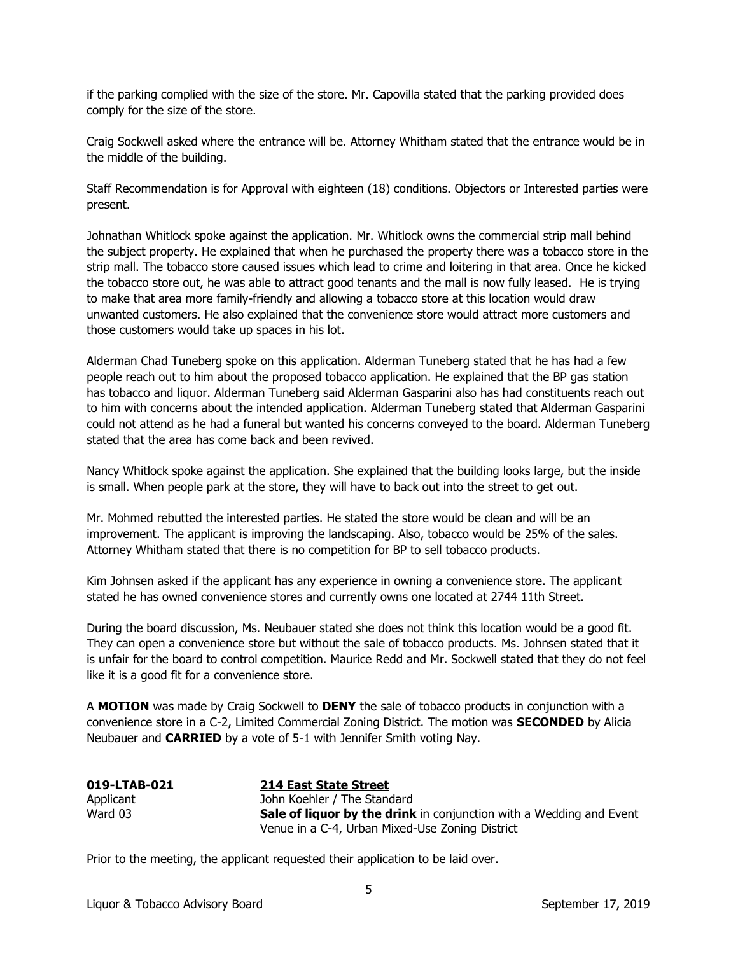if the parking complied with the size of the store. Mr. Capovilla stated that the parking provided does comply for the size of the store.

Craig Sockwell asked where the entrance will be. Attorney Whitham stated that the entrance would be in the middle of the building.

Staff Recommendation is for Approval with eighteen (18) conditions. Objectors or Interested parties were present.

Johnathan Whitlock spoke against the application. Mr. Whitlock owns the commercial strip mall behind the subject property. He explained that when he purchased the property there was a tobacco store in the strip mall. The tobacco store caused issues which lead to crime and loitering in that area. Once he kicked the tobacco store out, he was able to attract good tenants and the mall is now fully leased. He is trying to make that area more family-friendly and allowing a tobacco store at this location would draw unwanted customers. He also explained that the convenience store would attract more customers and those customers would take up spaces in his lot.

Alderman Chad Tuneberg spoke on this application. Alderman Tuneberg stated that he has had a few people reach out to him about the proposed tobacco application. He explained that the BP gas station has tobacco and liquor. Alderman Tuneberg said Alderman Gasparini also has had constituents reach out to him with concerns about the intended application. Alderman Tuneberg stated that Alderman Gasparini could not attend as he had a funeral but wanted his concerns conveyed to the board. Alderman Tuneberg stated that the area has come back and been revived.

Nancy Whitlock spoke against the application. She explained that the building looks large, but the inside is small. When people park at the store, they will have to back out into the street to get out.

Mr. Mohmed rebutted the interested parties. He stated the store would be clean and will be an improvement. The applicant is improving the landscaping. Also, tobacco would be 25% of the sales. Attorney Whitham stated that there is no competition for BP to sell tobacco products.

Kim Johnsen asked if the applicant has any experience in owning a convenience store. The applicant stated he has owned convenience stores and currently owns one located at 2744 11th Street.

During the board discussion, Ms. Neubauer stated she does not think this location would be a good fit. They can open a convenience store but without the sale of tobacco products. Ms. Johnsen stated that it is unfair for the board to control competition. Maurice Redd and Mr. Sockwell stated that they do not feel like it is a good fit for a convenience store.

A **MOTION** was made by Craig Sockwell to **DENY** the sale of tobacco products in conjunction with a convenience store in a C-2, Limited Commercial Zoning District. The motion was **SECONDED** by Alicia Neubauer and **CARRIED** by a vote of 5-1 with Jennifer Smith voting Nay.

| 019-LTAB-021 | 214 East State Street                                                      |
|--------------|----------------------------------------------------------------------------|
| Applicant    | John Koehler / The Standard                                                |
| Ward 03      | <b>Sale of liquor by the drink</b> in conjunction with a Wedding and Event |
|              | Venue in a C-4, Urban Mixed-Use Zoning District                            |

Prior to the meeting, the applicant requested their application to be laid over.